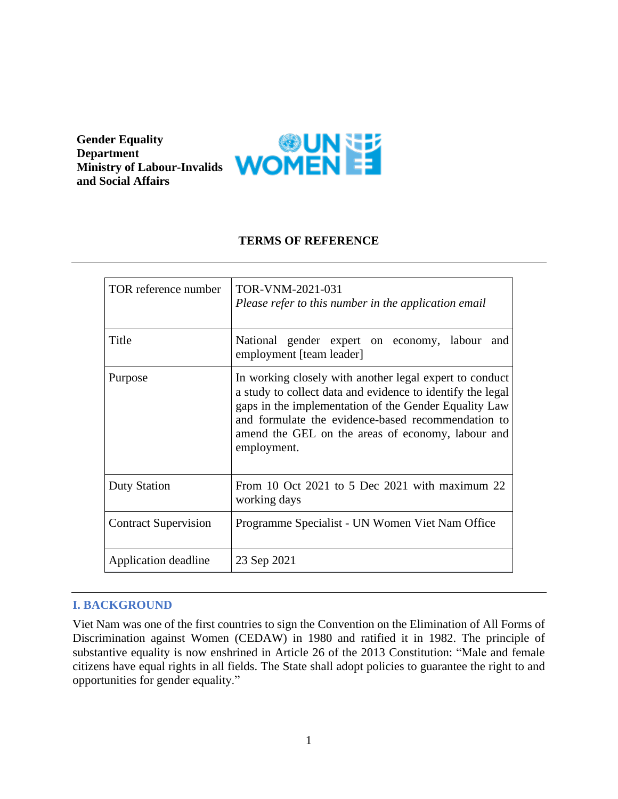**Gender Equality Department Ministry of Labour-Invalids and Social Affairs**



# **TERMS OF REFERENCE**

| TOR reference number        | TOR-VNM-2021-031<br>Please refer to this number in the application email                                                                                                                                                                                                                                 |  |
|-----------------------------|----------------------------------------------------------------------------------------------------------------------------------------------------------------------------------------------------------------------------------------------------------------------------------------------------------|--|
| Title                       | National gender expert on economy, labour and<br>employment [team leader]                                                                                                                                                                                                                                |  |
| Purpose                     | In working closely with another legal expert to conduct<br>a study to collect data and evidence to identify the legal<br>gaps in the implementation of the Gender Equality Law<br>and formulate the evidence-based recommendation to<br>amend the GEL on the areas of economy, labour and<br>employment. |  |
| <b>Duty Station</b>         | From 10 Oct 2021 to 5 Dec 2021 with maximum 22<br>working days                                                                                                                                                                                                                                           |  |
| <b>Contract Supervision</b> | Programme Specialist - UN Women Viet Nam Office                                                                                                                                                                                                                                                          |  |
| Application deadline        | 23 Sep 2021                                                                                                                                                                                                                                                                                              |  |

# **I. BACKGROUND**

Viet Nam was one of the first countries to sign the Convention on the Elimination of All Forms of Discrimination against Women (CEDAW) in 1980 and ratified it in 1982. The principle of substantive equality is now enshrined in Article 26 of the 2013 Constitution: "Male and female citizens have equal rights in all fields. The State shall adopt policies to guarantee the right to and opportunities for gender equality."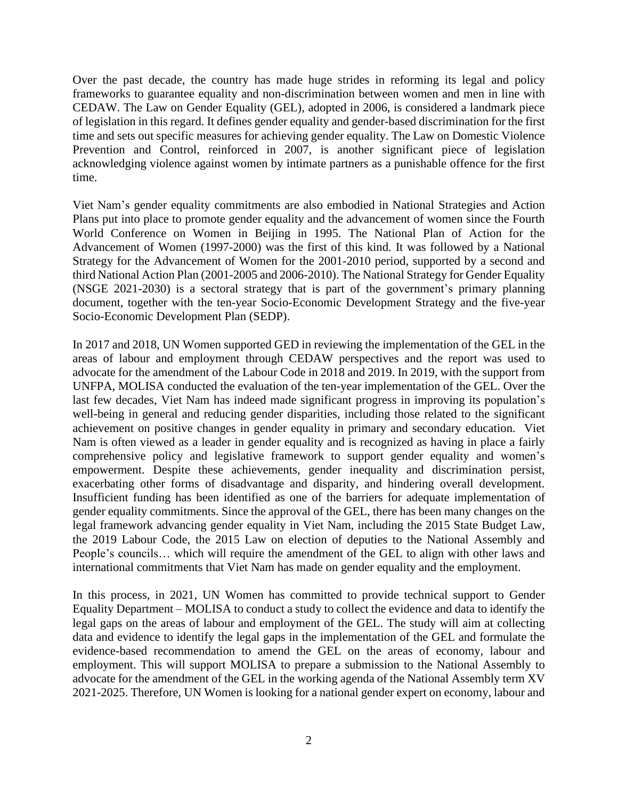Over the past decade, the country has made huge strides in reforming its legal and policy frameworks to guarantee equality and non-discrimination between women and men in line with CEDAW. The Law on Gender Equality (GEL), adopted in 2006, is considered a landmark piece of legislation in this regard. It defines gender equality and gender-based discrimination for the first time and sets out specific measures for achieving gender equality. The Law on Domestic Violence Prevention and Control, reinforced in 2007, is another significant piece of legislation acknowledging violence against women by intimate partners as a punishable offence for the first time.

Viet Nam's gender equality commitments are also embodied in National Strategies and Action Plans put into place to promote gender equality and the advancement of women since the Fourth World Conference on Women in Beijing in 1995. The National Plan of Action for the Advancement of Women (1997-2000) was the first of this kind. It was followed by a National Strategy for the Advancement of Women for the 2001-2010 period, supported by a second and third National Action Plan (2001-2005 and 2006-2010). The National Strategy for Gender Equality (NSGE 2021-2030) is a sectoral strategy that is part of the government's primary planning document, together with the ten-year Socio-Economic Development Strategy and the five-year Socio-Economic Development Plan (SEDP).

In 2017 and 2018, UN Women supported GED in reviewing the implementation of the GEL in the areas of labour and employment through CEDAW perspectives and the report was used to advocate for the amendment of the Labour Code in 2018 and 2019. In 2019, with the support from UNFPA, MOLISA conducted the evaluation of the ten-year implementation of the GEL. Over the last few decades, Viet Nam has indeed made significant progress in improving its population's well-being in general and reducing gender disparities, including those related to the significant achievement on positive changes in gender equality in primary and secondary education. Viet Nam is often viewed as a leader in gender equality and is recognized as having in place a fairly comprehensive policy and legislative framework to support gender equality and women's empowerment. Despite these achievements, gender inequality and discrimination persist, exacerbating other forms of disadvantage and disparity, and hindering overall development. Insufficient funding has been identified as one of the barriers for adequate implementation of gender equality commitments. Since the approval of the GEL, there has been many changes on the legal framework advancing gender equality in Viet Nam, including the 2015 State Budget Law, the 2019 Labour Code, the 2015 Law on election of deputies to the National Assembly and People's councils… which will require the amendment of the GEL to align with other laws and international commitments that Viet Nam has made on gender equality and the employment.

In this process, in 2021, UN Women has committed to provide technical support to Gender Equality Department – MOLISA to conduct a study to collect the evidence and data to identify the legal gaps on the areas of labour and employment of the GEL. The study will aim at collecting data and evidence to identify the legal gaps in the implementation of the GEL and formulate the evidence-based recommendation to amend the GEL on the areas of economy, labour and employment. This will support MOLISA to prepare a submission to the National Assembly to advocate for the amendment of the GEL in the working agenda of the National Assembly term XV 2021-2025. Therefore, UN Women is looking for a national gender expert on economy, labour and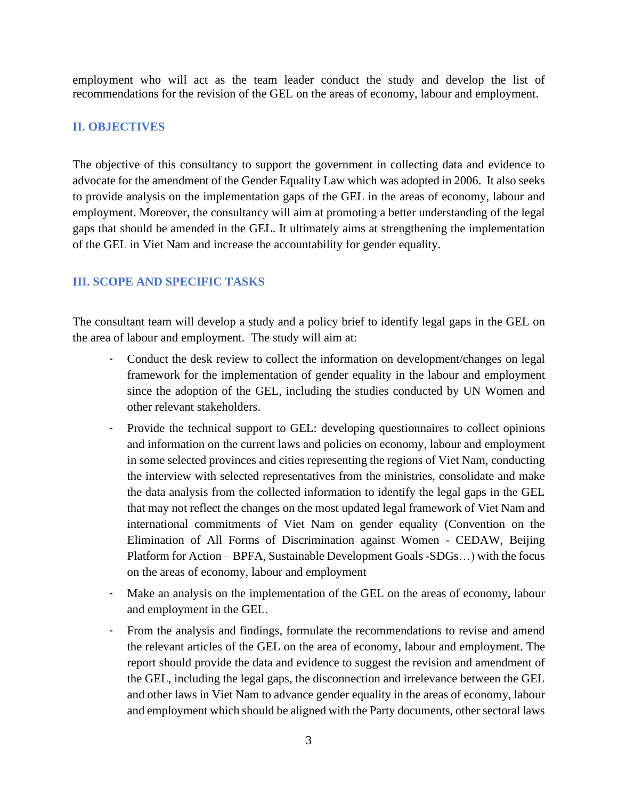employment who will act as the team leader conduct the study and develop the list of recommendations for the revision of the GEL on the areas of economy, labour and employment.

# **II. OBJECTIVES**

The objective of this consultancy to support the government in collecting data and evidence to advocate for the amendment of the Gender Equality Law which was adopted in 2006. It also seeks to provide analysis on the implementation gaps of the GEL in the areas of economy, labour and employment. Moreover, the consultancy will aim at promoting a better understanding of the legal gaps that should be amended in the GEL. It ultimately aims at strengthening the implementation of the GEL in Viet Nam and increase the accountability for gender equality.

### **III. SCOPE AND SPECIFIC TASKS**

The consultant team will develop a study and a policy brief to identify legal gaps in the GEL on the area of labour and employment. The study will aim at:

- Conduct the desk review to collect the information on development/changes on legal framework for the implementation of gender equality in the labour and employment since the adoption of the GEL, including the studies conducted by UN Women and other relevant stakeholders.
- Provide the technical support to GEL: developing questionnaires to collect opinions and information on the current laws and policies on economy, labour and employment in some selected provinces and cities representing the regions of Viet Nam, conducting the interview with selected representatives from the ministries, consolidate and make the data analysis from the collected information to identify the legal gaps in the GEL that may not reflect the changes on the most updated legal framework of Viet Nam and international commitments of Viet Nam on gender equality (Convention on the Elimination of All Forms of Discrimination against Women - CEDAW, Beijing Platform for Action – BPFA, Sustainable Development Goals -SDGs…) with the focus on the areas of economy, labour and employment
- Make an analysis on the implementation of the GEL on the areas of economy, labour and employment in the GEL.
- From the analysis and findings, formulate the recommendations to revise and amend the relevant articles of the GEL on the area of economy, labour and employment. The report should provide the data and evidence to suggest the revision and amendment of the GEL, including the legal gaps, the disconnection and irrelevance between the GEL and other laws in Viet Nam to advance gender equality in the areas of economy, labour and employment which should be aligned with the Party documents, other sectoral laws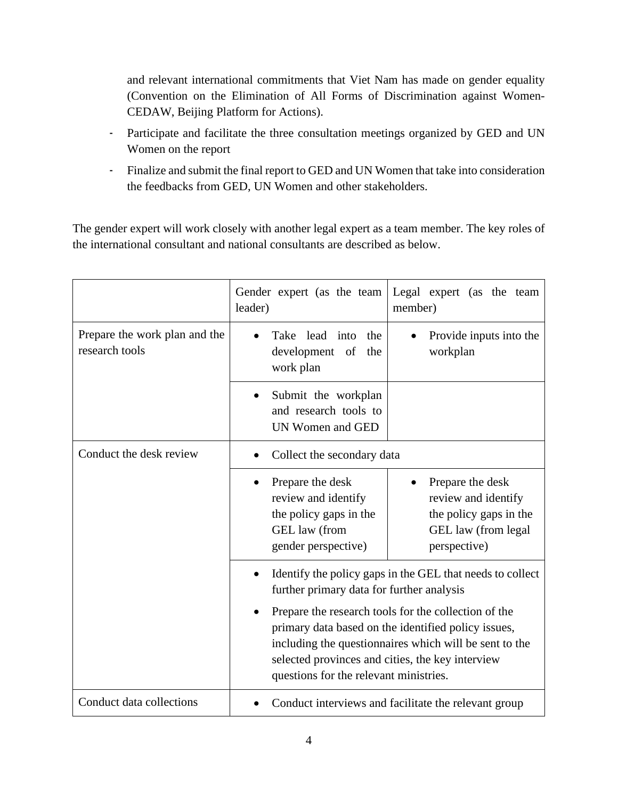and relevant international commitments that Viet Nam has made on gender equality (Convention on the Elimination of All Forms of Discrimination against Women-CEDAW, Beijing Platform for Actions).

- Participate and facilitate the three consultation meetings organized by GED and UN Women on the report
- Finalize and submit the final report to GED and UN Women that take into consideration the feedbacks from GED, UN Women and other stakeholders.

The gender expert will work closely with another legal expert as a team member. The key roles of the international consultant and national consultants are described as below.

|                                                 | Gender expert (as the team<br>leader)                                                                                                                                                                                                                                                                                                                                                      | Legal expert (as the team<br>member)                                                                      |  |  |
|-------------------------------------------------|--------------------------------------------------------------------------------------------------------------------------------------------------------------------------------------------------------------------------------------------------------------------------------------------------------------------------------------------------------------------------------------------|-----------------------------------------------------------------------------------------------------------|--|--|
| Prepare the work plan and the<br>research tools | Take lead into<br>the<br>development of<br>the<br>work plan                                                                                                                                                                                                                                                                                                                                | Provide inputs into the<br>workplan                                                                       |  |  |
|                                                 | Submit the workplan<br>and research tools to<br>UN Women and GED                                                                                                                                                                                                                                                                                                                           |                                                                                                           |  |  |
| Conduct the desk review                         | Collect the secondary data                                                                                                                                                                                                                                                                                                                                                                 |                                                                                                           |  |  |
|                                                 | Prepare the desk<br>review and identify<br>the policy gaps in the<br>GEL law (from<br>gender perspective)                                                                                                                                                                                                                                                                                  | Prepare the desk<br>review and identify<br>the policy gaps in the<br>GEL law (from legal)<br>perspective) |  |  |
|                                                 | Identify the policy gaps in the GEL that needs to collect<br>$\bullet$<br>further primary data for further analysis<br>Prepare the research tools for the collection of the<br>primary data based on the identified policy issues,<br>including the questionnaires which will be sent to the<br>selected provinces and cities, the key interview<br>questions for the relevant ministries. |                                                                                                           |  |  |
| Conduct data collections                        |                                                                                                                                                                                                                                                                                                                                                                                            | Conduct interviews and facilitate the relevant group                                                      |  |  |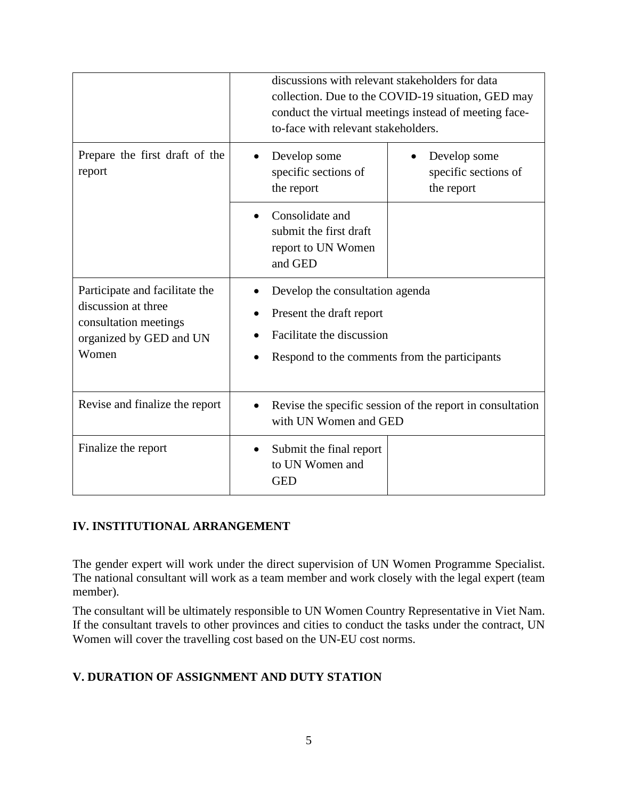|                                                                                                                    |                                                                                          | discussions with relevant stakeholders for data<br>collection. Due to the COVID-19 situation, GED may<br>conduct the virtual meetings instead of meeting face-<br>to-face with relevant stakeholders. |  |
|--------------------------------------------------------------------------------------------------------------------|------------------------------------------------------------------------------------------|-------------------------------------------------------------------------------------------------------------------------------------------------------------------------------------------------------|--|
| Prepare the first draft of the<br>report                                                                           | Develop some<br>specific sections of<br>the report                                       | Develop some<br>specific sections of<br>the report                                                                                                                                                    |  |
|                                                                                                                    | Consolidate and<br>submit the first draft<br>report to UN Women<br>and GED               |                                                                                                                                                                                                       |  |
| Participate and facilitate the<br>discussion at three<br>consultation meetings<br>organized by GED and UN<br>Women | Develop the consultation agenda<br>Present the draft report<br>Facilitate the discussion | Respond to the comments from the participants                                                                                                                                                         |  |
| Revise and finalize the report                                                                                     |                                                                                          | Revise the specific session of the report in consultation<br>with UN Women and GED                                                                                                                    |  |
| Finalize the report                                                                                                | Submit the final report<br>$\bullet$<br>to UN Women and<br><b>GED</b>                    |                                                                                                                                                                                                       |  |

# **IV. INSTITUTIONAL ARRANGEMENT**

The gender expert will work under the direct supervision of UN Women Programme Specialist. The national consultant will work as a team member and work closely with the legal expert (team member).

The consultant will be ultimately responsible to UN Women Country Representative in Viet Nam. If the consultant travels to other provinces and cities to conduct the tasks under the contract, UN Women will cover the travelling cost based on the UN-EU cost norms.

# **V. DURATION OF ASSIGNMENT AND DUTY STATION**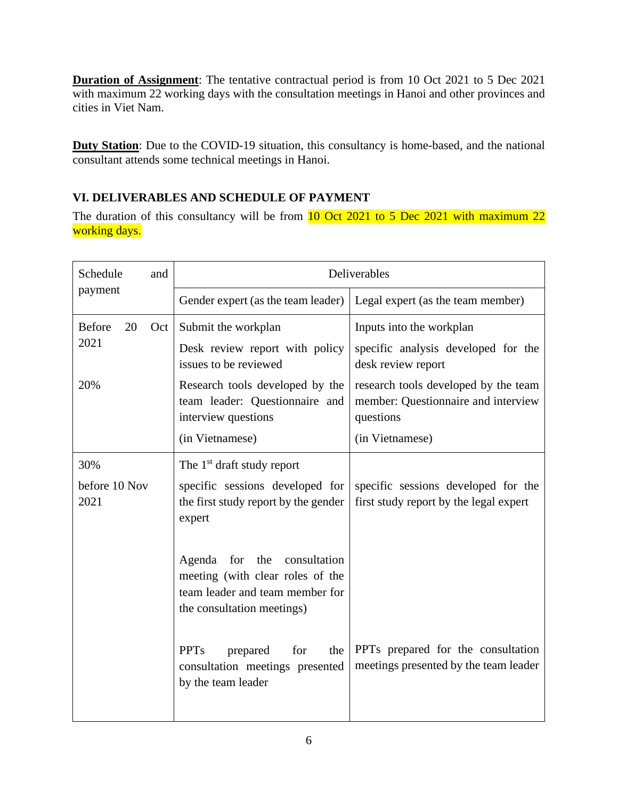**Duration of Assignment**: The tentative contractual period is from 10 Oct 2021 to 5 Dec 2021 with maximum 22 working days with the consultation meetings in Hanoi and other provinces and cities in Viet Nam.

**Duty Station:** Due to the COVID-19 situation, this consultancy is home-based, and the national consultant attends some technical meetings in Hanoi.

# **VI. DELIVERABLES AND SCHEDULE OF PAYMENT**

The duration of this consultancy will be from 10 Oct 2021 to 5 Dec 2021 with maximum 22 working days.

| Schedule<br>and                    |     | Deliverables                                                                                                                                                                                  |                                                                                                                                                                                                      |
|------------------------------------|-----|-----------------------------------------------------------------------------------------------------------------------------------------------------------------------------------------------|------------------------------------------------------------------------------------------------------------------------------------------------------------------------------------------------------|
| payment                            |     | Gender expert (as the team leader)                                                                                                                                                            | Legal expert (as the team member)                                                                                                                                                                    |
| <b>Before</b><br>20<br>2021<br>20% | Oct | Submit the workplan<br>Desk review report with policy<br>issues to be reviewed<br>Research tools developed by the<br>team leader: Questionnaire and<br>interview questions<br>(in Vietnamese) | Inputs into the workplan<br>specific analysis developed for the<br>desk review report<br>research tools developed by the team<br>member: Questionnaire and interview<br>questions<br>(in Vietnamese) |
| 30%                                |     | The $1st$ draft study report                                                                                                                                                                  |                                                                                                                                                                                                      |
| before 10 Nov<br>2021              |     | specific sessions developed for<br>the first study report by the gender<br>expert                                                                                                             | specific sessions developed for the<br>first study report by the legal expert                                                                                                                        |
|                                    |     | Agenda<br>for the<br>consultation<br>meeting (with clear roles of the<br>team leader and team member for<br>the consultation meetings)                                                        |                                                                                                                                                                                                      |
|                                    |     | <b>PPTs</b><br>prepared<br>for<br>the<br>consultation meetings presented<br>by the team leader                                                                                                | PPTs prepared for the consultation<br>meetings presented by the team leader                                                                                                                          |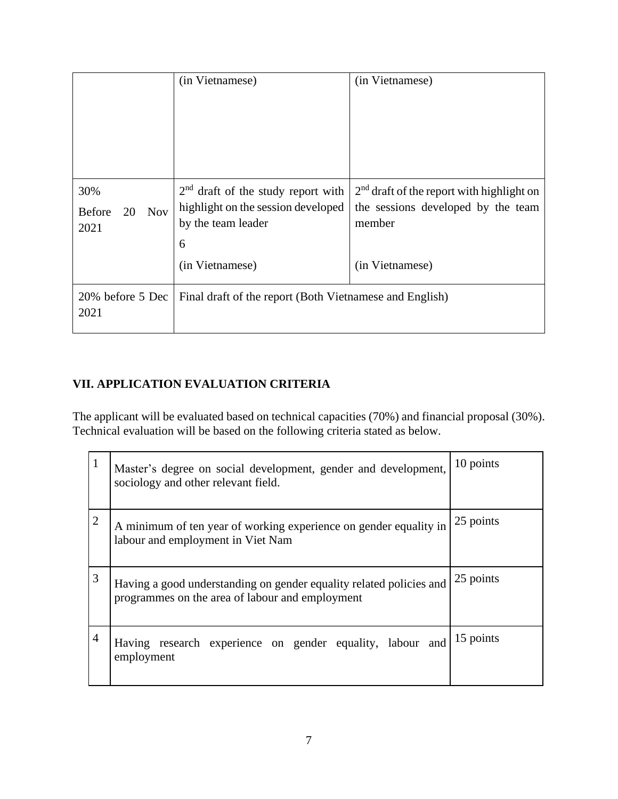|                                                         | (in Vietnamese)                                                                                                          | (in Vietnamese)                                                                                                |
|---------------------------------------------------------|--------------------------------------------------------------------------------------------------------------------------|----------------------------------------------------------------------------------------------------------------|
| 30%<br><b>Before</b><br><b>20</b><br><b>Nov</b><br>2021 | $2nd$ draft of the study report with<br>highlight on the session developed<br>by the team leader<br>6<br>(in Vietnamese) | $2nd$ draft of the report with highlight on<br>the sessions developed by the team<br>member<br>(in Vietnamese) |
| 20% before 5 Dec<br>2021                                | Final draft of the report (Both Vietnamese and English)                                                                  |                                                                                                                |

# **VII. APPLICATION EVALUATION CRITERIA**

The applicant will be evaluated based on technical capacities (70%) and financial proposal (30%). Technical evaluation will be based on the following criteria stated as below.

|                | Master's degree on social development, gender and development,<br>sociology and other relevant field.                  | 10 points |
|----------------|------------------------------------------------------------------------------------------------------------------------|-----------|
| $\overline{2}$ | A minimum of ten year of working experience on gender equality in<br>labour and employment in Viet Nam                 | 25 points |
| 3              | Having a good understanding on gender equality related policies and<br>programmes on the area of labour and employment | 25 points |
| $\overline{4}$ | Having research experience on gender equality, labour and<br>employment                                                | 15 points |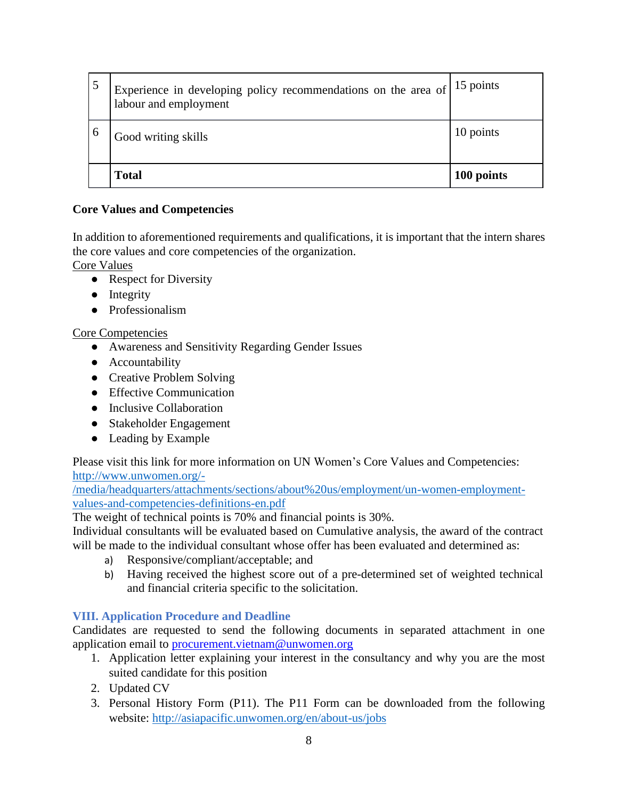|              | Experience in developing policy recommendations on the area of <sup>15</sup> points<br>labour and employment |            |
|--------------|--------------------------------------------------------------------------------------------------------------|------------|
| $\mathbf{a}$ | Good writing skills                                                                                          | 10 points  |
|              | <b>Total</b>                                                                                                 | 100 points |

# **Core Values and Competencies**

In addition to aforementioned requirements and qualifications, it is important that the intern shares the core values and core competencies of the organization.

Core Values

- Respect for Diversity
- Integrity
- Professionalism

Core Competencies

- Awareness and Sensitivity Regarding Gender Issues
- Accountability
- Creative Problem Solving
- Effective Communication
- Inclusive Collaboration
- Stakeholder Engagement
- Leading by Example

Please visit this link for more information on UN Women's Core Values and Competencies: [http://www.unwomen.org/-](http://www.unwomen.org/-/media/headquarters/attachments/sections/about%20us/employment/un-women-employment-values-and-competencies-definitions-en.pdf)

[/media/headquarters/attachments/sections/about%20us/employment/un-women-employment](http://www.unwomen.org/-/media/headquarters/attachments/sections/about%20us/employment/un-women-employment-values-and-competencies-definitions-en.pdf)[values-and-competencies-definitions-en.pdf](http://www.unwomen.org/-/media/headquarters/attachments/sections/about%20us/employment/un-women-employment-values-and-competencies-definitions-en.pdf)

The weight of technical points is 70% and financial points is 30%.

Individual consultants will be evaluated based on Cumulative analysis, the award of the contract will be made to the individual consultant whose offer has been evaluated and determined as:

- a) Responsive/compliant/acceptable; and
- b) Having received the highest score out of a pre-determined set of weighted technical and financial criteria specific to the solicitation.

# **VIII. Application Procedure and Deadline**

Candidates are requested to send the following documents in separated attachment in one application email to [procurement.vietnam@unwomen.org](mailto:procurement.vietnam@unwomen.org)

- 1. Application letter explaining your interest in the consultancy and why you are the most suited candidate for this position
- 2. Updated CV
- 3. Personal History Form (P11). The P11 Form can be downloaded from the following website: <http://asiapacific.unwomen.org/en/about-us/jobs>